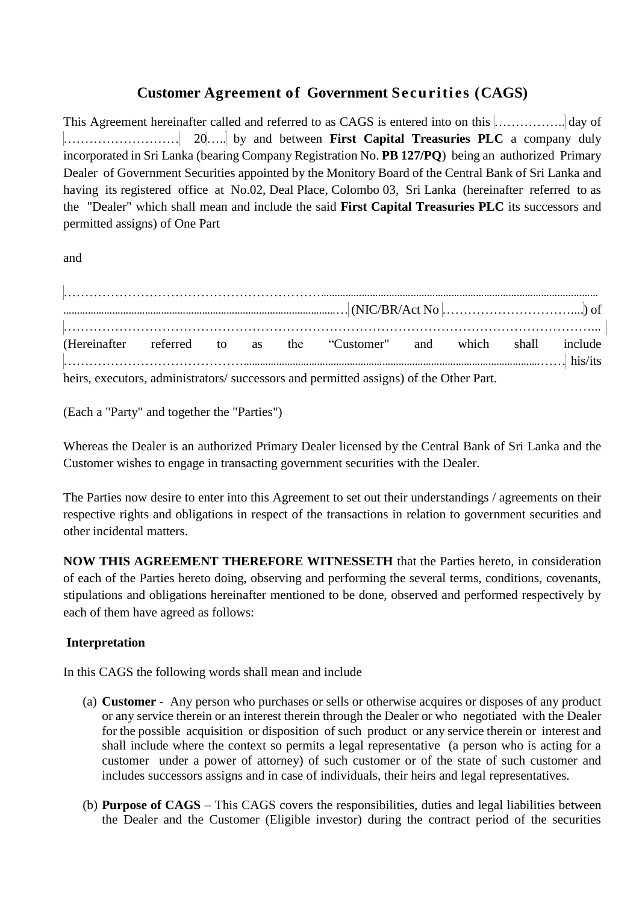# **Customer Agreement of Government Securities (CAGS)**

This Agreement hereinafter called and referred to as CAGS is entered into on this …………….. day of ……………………… 20….. by and between **First Capital Treasuries PLC** a company duly incorporated in Sri Lanka (bearing Company Registration No. **PB 127/PQ**) being an authorized Primary Dealer of Government Securities appointed by the Monitory Board of the Central Bank of Sri Lanka and having its registered office at No.02, Deal Place, Colombo 03, Sri Lanka (hereinafter referred to as the "Dealer" which shall mean and include the said **First Capital Treasuries PLC** its successors and permitted assigns) of One Part

and

|  |  | (Hereinafter referred to as the "Customer" and which shall include<br>$\left  \ldots \right\rangle$ his/its |  |  |
|--|--|-------------------------------------------------------------------------------------------------------------|--|--|
|  |  | heirs, executors, administrators/ successors and permitted assigns) of the Other Part.                      |  |  |

(Each a "Party" and together the "Parties")

Whereas the Dealer is an authorized Primary Dealer licensed by the Central Bank of Sri Lanka and the Customer wishes to engage in transacting government securities with the Dealer.

The Parties now desire to enter into this Agreement to set out their understandings / agreements on their respective rights and obligations in respect of the transactions in relation to government securities and other incidental matters.

**NOW THIS AGREEMENT THEREFORE WITNESSETH** that the Parties hereto, in consideration of each of the Parties hereto doing, observing and performing the several terms, conditions, covenants, stipulations and obligations hereinafter mentioned to be done, observed and performed respectively by each of them have agreed as follows:

## **Interpretation**

In this CAGS the following words shall mean and include

- (a) **Customer** Any person who purchases or sells or otherwise acquires or disposes of any product or any service therein or an interest therein through the Dealer or who negotiated with the Dealer for the possible acquisition or disposition of such product or any service therein or interest and shall include where the context so permits a legal representative (a person who is acting for a customer under a power of attorney) of such customer or of the state of such customer and includes successors assigns and in case of individuals, their heirs and legal representatives.
- (b) **Purpose of CAGS** This CAGS covers the responsibilities, duties and legal liabilities between the Dealer and the Customer (Eligible investor) during the contract period of the securities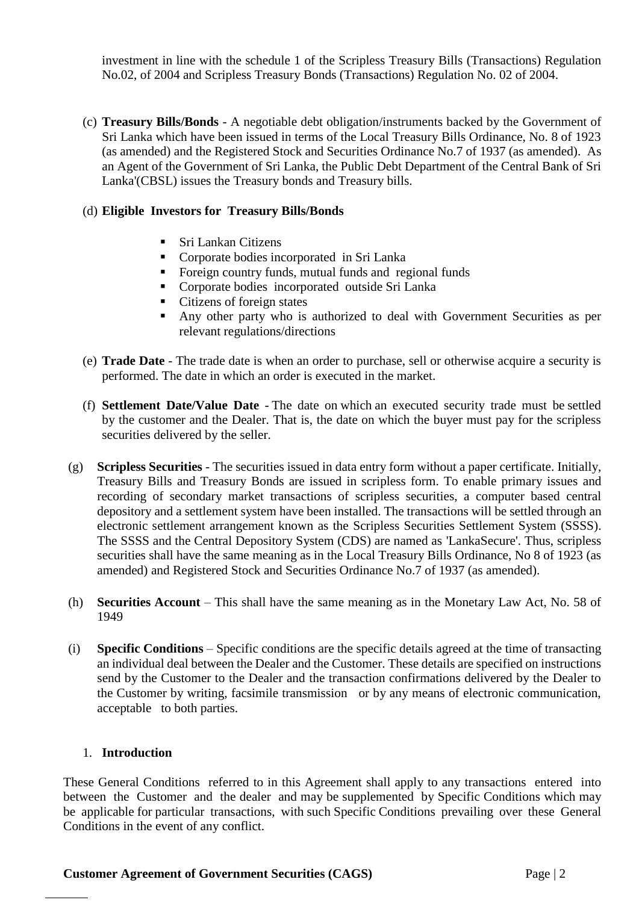investment in line with the schedule 1 of the Scripless Treasury Bills (Transactions) Regulation No.02, of 2004 and Scripless Treasury Bonds (Transactions) Regulation No. 02 of 2004.

(c) **Treasury Bills/Bonds** - A negotiable debt obligation/instruments backed by the Government of Sri Lanka which have been issued in terms of the Local Treasury Bills Ordinance, No. 8 of 1923 (as amended) and the Registered Stock and Securities Ordinance No.7 of 1937 (as amended). As an Agent of the Government of Sri Lanka, the Public Debt Department of the Central Bank of Sri Lanka'(CBSL) issues the Treasury bonds and Treasury bills.

### (d) **Eligible Investors for Treasury Bills/Bonds**

- Sri Lankan Citizens
- **Corporate bodies incorporated in Sri Lanka**
- **Foreign country funds, mutual funds and regional funds**
- **Corporate bodies incorporated outside Sri Lanka**
- Citizens of foreign states
- Any other party who is authorized to deal with Government Securities as per relevant regulations/directions
- (e) **Trade Date** The trade date is when an order to purchase, sell or otherwise acquire a security is performed. The date in which an order is executed in the market.
- (f) **Settlement Date/Value Date** The date on which an executed security trade must be settled by the customer and the Dealer. That is, the date on which the buyer must pay for the scripless securities delivered by the seller.
- (g) **Scripless Securities** The securities issued in data entry form without a paper certificate. Initially, Treasury Bills and Treasury Bonds are issued in scripless form. To enable primary issues and recording of secondary market transactions of scripless securities, a computer based central depository and a settlement system have been installed. The transactions will be settled through an electronic settlement arrangement known as the Scripless Securities Settlement System (SSSS). The SSSS and the Central Depository System (CDS) are named as 'LankaSecure'. Thus, scripless securities shall have the same meaning as in the Local Treasury Bills Ordinance, No 8 of 1923 (as amended) and Registered Stock and Securities Ordinance No.7 of 1937 (as amended).
- (h) **Securities Account** This shall have the same meaning as in the Monetary Law Act, No. 58 of 1949
- (i) **Specific Conditions** Specific conditions are the specific details agreed at the time of transacting an individual deal between the Dealer and the Customer. These details are specified on instructions send by the Customer to the Dealer and the transaction confirmations delivered by the Dealer to the Customer by writing, facsimile transmission or by any means of electronic communication, acceptable to both parties.

#### 1. **Introduction**

These General Conditions referred to in this Agreement shall apply to any transactions entered into between the Customer and the dealer and may be supplemented by Specific Conditions which may be applicable for particular transactions, with such Specific Conditions prevailing over these General Conditions in the event of any conflict.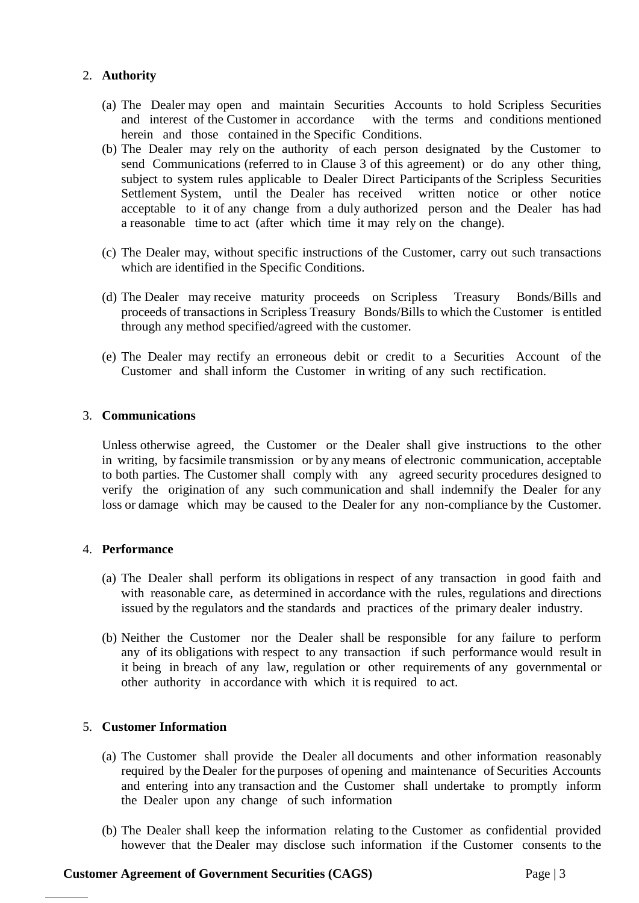## 2. **Authority**

- (a) The Dealer may open and maintain Securities Accounts to hold Scripless Securities and interest of the Customer in accordance with the terms and conditions mentioned herein and those contained in the Specific Conditions.
- (b) The Dealer may rely on the authority of each person designated by the Customer to send Communications (referred to in Clause 3 of this agreement) or do any other thing, subject to system rules applicable to Dealer Direct Participants of the Scripless Securities Settlement System, until the Dealer has received written notice or other notice acceptable to it of any change from a duly authorized person and the Dealer has had a reasonable time to act (after which time it may rely on the change).
- (c) The Dealer may, without specific instructions of the Customer, carry out such transactions which are identified in the Specific Conditions.
- (d) The Dealer may receive maturity proceeds on Scripless Treasury Bonds/Bills and proceeds of transactions in Scripless Treasury Bonds/Bills to which the Customer is entitled through any method specified/agreed with the customer.
- (e) The Dealer may rectify an erroneous debit or credit to a Securities Account of the Customer and shall inform the Customer in writing of any such rectification.

### 3. **Communications**

Unless otherwise agreed, the Customer or the Dealer shall give instructions to the other in writing, by facsimile transmission or by any means of electronic communication, acceptable to both parties. The Customer shall comply with any agreed security procedures designed to verify the origination of any such communication and shall indemnify the Dealer for any loss or damage which may be caused to the Dealer for any non-compliance by the Customer.

## 4. **Performance**

- (a) The Dealer shall perform its obligations in respect of any transaction in good faith and with reasonable care, as determined in accordance with the rules, regulations and directions issued by the regulators and the standards and practices of the primary dealer industry.
- (b) Neither the Customer nor the Dealer shall be responsible for any failure to perform any of its obligations with respect to any transaction if such performance would result in it being in breach of any law, regulation or other requirements of any governmental or other authority in accordance with which it is required to act.

## 5. **Customer Information**

- (a) The Customer shall provide the Dealer all documents and other information reasonably required by the Dealer for the purposes of opening and maintenance of Securities Accounts and entering into any transaction and the Customer shall undertake to promptly inform the Dealer upon any change of such information
- (b) The Dealer shall keep the information relating to the Customer as confidential provided however that the Dealer may disclose such information if the Customer consents to the

### **Customer Agreement of Government Securities (CAGS)** Page | 3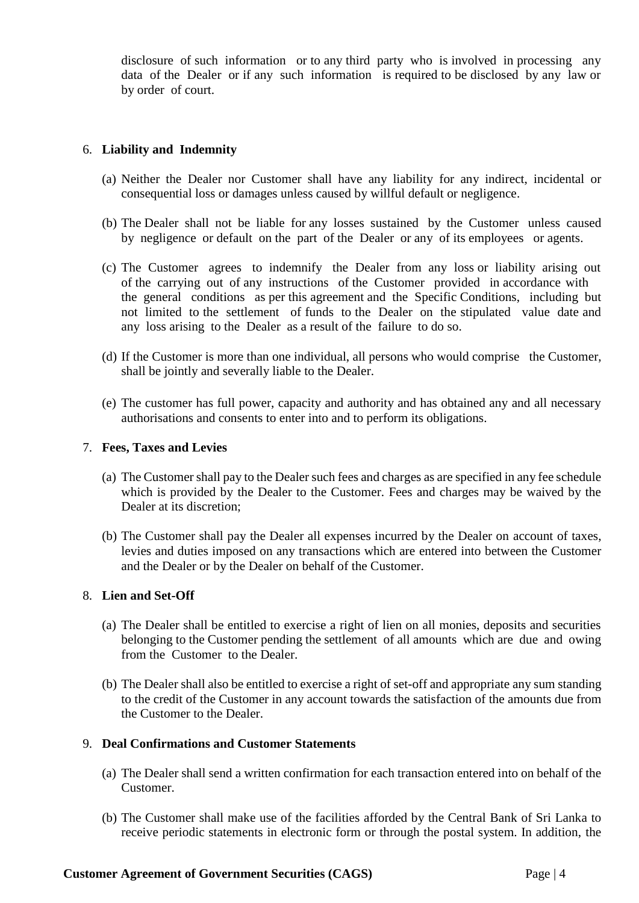disclosure of such information or to any third party who is involved in processing any data of the Dealer or if any such information is required to be disclosed by any law or by order of court.

#### 6. **Liability and Indemnity**

- (a) Neither the Dealer nor Customer shall have any liability for any indirect, incidental or consequential loss or damages unless caused by willful default or negligence.
- (b) The Dealer shall not be liable for any losses sustained by the Customer unless caused by negligence or default on the part of the Dealer or any of its employees or agents.
- (c) The Customer agrees to indemnify the Dealer from any loss or liability arising out of the carrying out of any instructions of the Customer provided in accordance with the general conditions as per this agreement and the Specific Conditions, including but not limited to the settlement of funds to the Dealer on the stipulated value date and any loss arising to the Dealer as a result of the failure to do so.
- (d) If the Customer is more than one individual, all persons who would comprise the Customer, shall be jointly and severally liable to the Dealer.
- (e) The customer has full power, capacity and authority and has obtained any and all necessary authorisations and consents to enter into and to perform its obligations.

#### 7. **Fees, Taxes and Levies**

- (a) The Customer shall pay to the Dealer such fees and charges as are specified in any fee schedule which is provided by the Dealer to the Customer. Fees and charges may be waived by the Dealer at its discretion:
- (b) The Customer shall pay the Dealer all expenses incurred by the Dealer on account of taxes, levies and duties imposed on any transactions which are entered into between the Customer and the Dealer or by the Dealer on behalf of the Customer.

#### 8. **Lien and Set-Off**

- (a) The Dealer shall be entitled to exercise a right of lien on all monies, deposits and securities belonging to the Customer pending the settlement of all amounts which are due and owing from the Customer to the Dealer.
- (b) The Dealer shall also be entitled to exercise a right of set-off and appropriate any sum standing to the credit of the Customer in any account towards the satisfaction of the amounts due from the Customer to the Dealer.

#### 9. **Deal Confirmations and Customer Statements**

- (a) The Dealer shall send a written confirmation for each transaction entered into on behalf of the Customer.
- (b) The Customer shall make use of the facilities afforded by the Central Bank of Sri Lanka to receive periodic statements in electronic form or through the postal system. In addition, the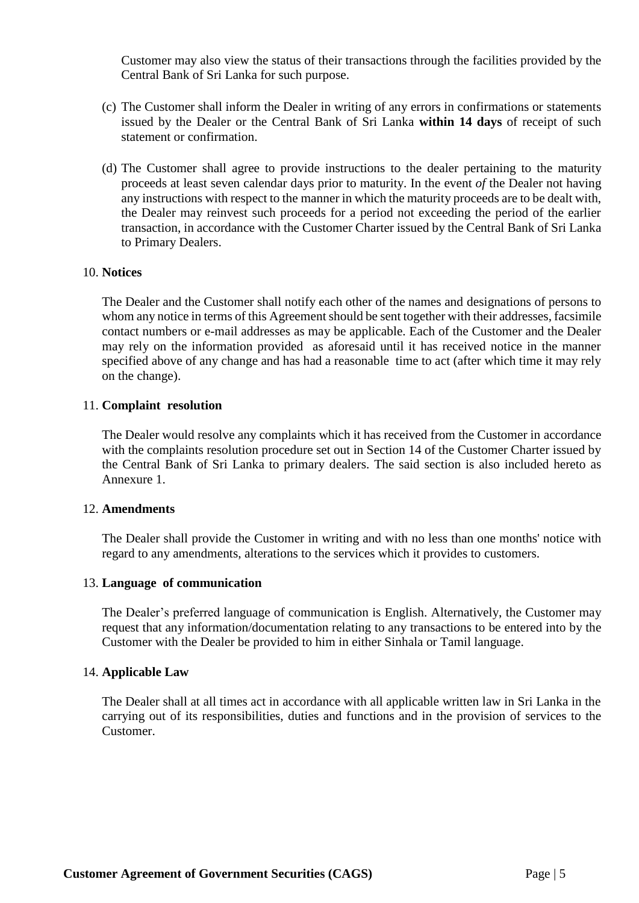Customer may also view the status of their transactions through the facilities provided by the Central Bank of Sri Lanka for such purpose.

- (c) The Customer shall inform the Dealer in writing of any errors in confirmations or statements issued by the Dealer or the Central Bank of Sri Lanka **within 14 days** of receipt of such statement or confirmation.
- (d) The Customer shall agree to provide instructions to the dealer pertaining to the maturity proceeds at least seven calendar days prior to maturity. In the event *of* the Dealer not having any instructions with respect to the manner in which the maturity proceeds are to be dealt with, the Dealer may reinvest such proceeds for a period not exceeding the period of the earlier transaction, in accordance with the Customer Charter issued by the Central Bank of Sri Lanka to Primary Dealers.

#### 10. **Notices**

The Dealer and the Customer shall notify each other of the names and designations of persons to whom any notice in terms of this Agreement should be sent together with their addresses, facsimile contact numbers or e-mail addresses as may be applicable. Each of the Customer and the Dealer may rely on the information provided as aforesaid until it has received notice in the manner specified above of any change and has had a reasonable time to act (after which time it may rely on the change).

#### 11. **Complaint resolution**

The Dealer would resolve any complaints which it has received from the Customer in accordance with the complaints resolution procedure set out in Section 14 of the Customer Charter issued by the Central Bank of Sri Lanka to primary dealers. The said section is also included hereto as Annexure 1.

#### 12. **Amendments**

The Dealer shall provide the Customer in writing and with no less than one months' notice with regard to any amendments, alterations to the services which it provides to customers.

#### 13. **Language of communication**

The Dealer's preferred language of communication is English. Alternatively, the Customer may request that any information/documentation relating to any transactions to be entered into by the Customer with the Dealer be provided to him in either Sinhala or Tamil language.

#### 14. **Applicable Law**

The Dealer shall at all times act in accordance with all applicable written law in Sri Lanka in the carrying out of its responsibilities, duties and functions and in the provision of services to the Customer.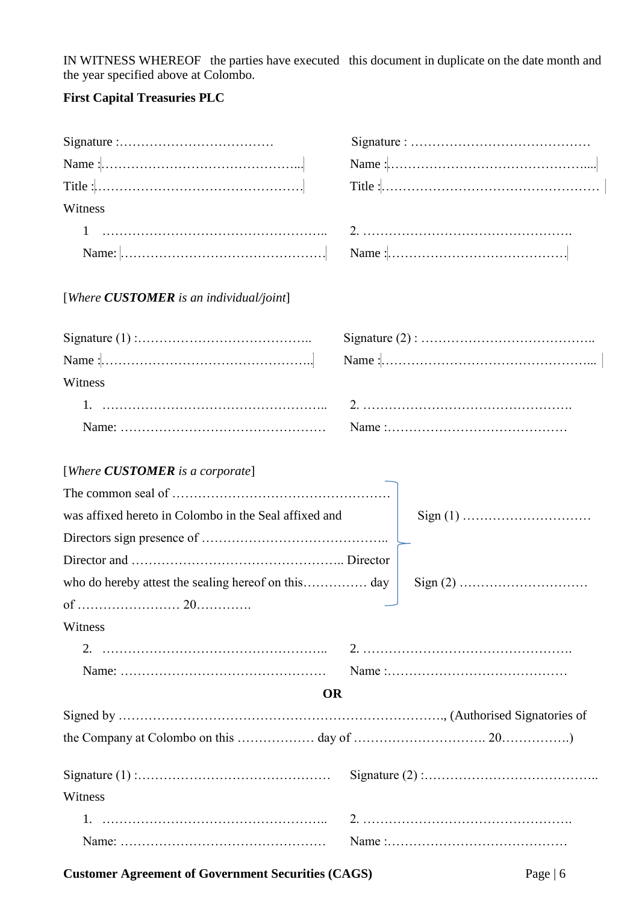IN WITNESS WHEREOF the parties have executed this document in duplicate on the date month and the year specified above at Colombo.

## **First Capital Treasuries PLC**

| Witness                                                                                                                                       |  |  |  |  |  |
|-----------------------------------------------------------------------------------------------------------------------------------------------|--|--|--|--|--|
| Name: $\begin{bmatrix} \dots & \dots & \dots & \dots & \dots & \dots & \dots & \dots \dots \dots \dots & \dots & \dots & \dots \end{bmatrix}$ |  |  |  |  |  |
| [Where <b>CUSTOMER</b> is an individual/joint]                                                                                                |  |  |  |  |  |
|                                                                                                                                               |  |  |  |  |  |
|                                                                                                                                               |  |  |  |  |  |
| Witness                                                                                                                                       |  |  |  |  |  |
|                                                                                                                                               |  |  |  |  |  |
|                                                                                                                                               |  |  |  |  |  |
| [Where <b>CUSTOMER</b> is a corporate]                                                                                                        |  |  |  |  |  |
|                                                                                                                                               |  |  |  |  |  |
| was affixed hereto in Colombo in the Seal affixed and                                                                                         |  |  |  |  |  |
|                                                                                                                                               |  |  |  |  |  |
|                                                                                                                                               |  |  |  |  |  |
|                                                                                                                                               |  |  |  |  |  |
|                                                                                                                                               |  |  |  |  |  |
| Witness                                                                                                                                       |  |  |  |  |  |
|                                                                                                                                               |  |  |  |  |  |
|                                                                                                                                               |  |  |  |  |  |
| <b>OR</b>                                                                                                                                     |  |  |  |  |  |
|                                                                                                                                               |  |  |  |  |  |
|                                                                                                                                               |  |  |  |  |  |
|                                                                                                                                               |  |  |  |  |  |
| Witness                                                                                                                                       |  |  |  |  |  |
|                                                                                                                                               |  |  |  |  |  |
|                                                                                                                                               |  |  |  |  |  |

**Customer Agreement of Government Securities (CAGS)** Page | 6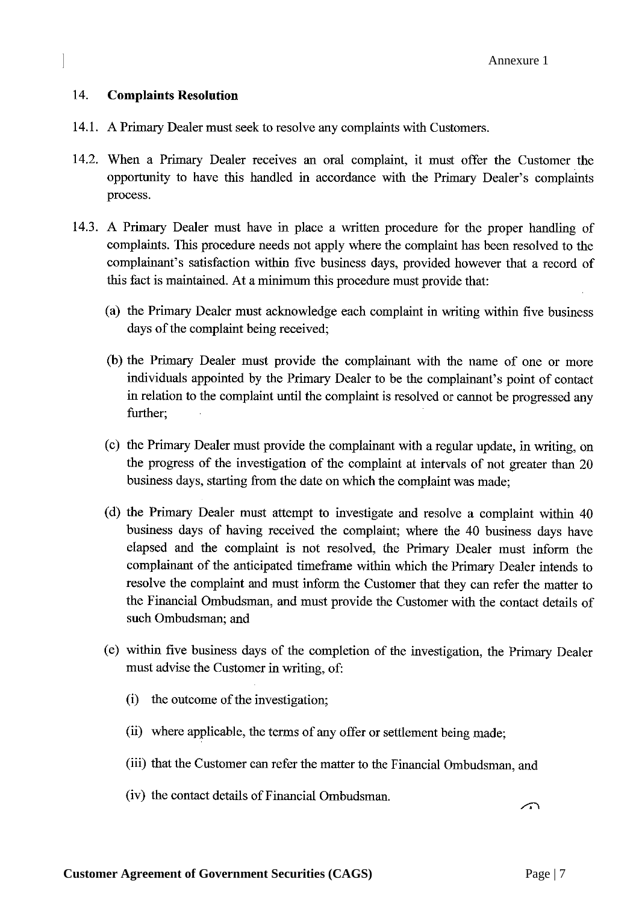#### 14. **Complaints Resolution**

- 14.1. A Primary Dealer must seek to resolve any complaints with Customers.
- 14.2. When a Primary Dealer receives an oral complaint, it must offer the Customer the opportunity to have this handled in accordance with the Primary Dealer's complaints process.
- 14.3. A Primary Dealer must have in place a written procedure for the proper handling of complaints. This procedure needs not apply where the complaint has been resolved to the complainant's satisfaction within five business days, provided however that a record of this fact is maintained. At a minimum this procedure must provide that:
	- (a) the Primary Dealer must acknowledge each complaint in writing within five business days of the complaint being received;
	- (b) the Primary Dealer must provide the complainant with the name of one or more individuals appointed by the Primary Dealer to be the complainant's point of contact in relation to the complaint until the complaint is resolved or cannot be progressed any further:
	- (c) the Primary Dealer must provide the complainant with a regular update, in writing, on the progress of the investigation of the complaint at intervals of not greater than 20 business days, starting from the date on which the complaint was made;
	- (d) the Primary Dealer must attempt to investigate and resolve a complaint within 40 business days of having received the complaint; where the 40 business days have elapsed and the complaint is not resolved, the Primary Dealer must inform the complainant of the anticipated timeframe within which the Primary Dealer intends to resolve the complaint and must inform the Customer that they can refer the matter to the Financial Ombudsman, and must provide the Customer with the contact details of such Ombudsman; and
	- (e) within five business days of the completion of the investigation, the Primary Dealer must advise the Customer in writing, of:
		- (i) the outcome of the investigation;
		- (ii) where applicable, the terms of any offer or settlement being made;
		- (iii) that the Customer can refer the matter to the Financial Ombudsman, and
		- (iv) the contact details of Financial Ombudsman.

 $\sqrt{2}$